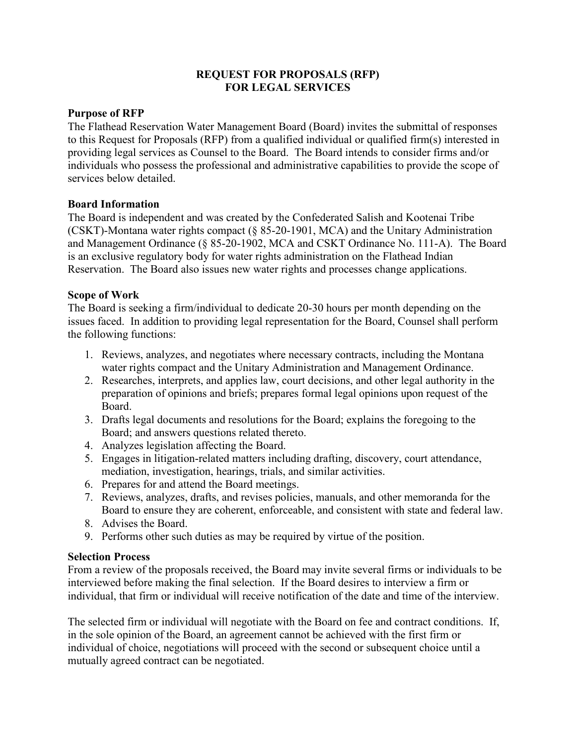# **REQUEST FOR PROPOSALS (RFP) FOR LEGAL SERVICES**

### **Purpose of RFP**

The Flathead Reservation Water Management Board (Board) invites the submittal of responses to this Request for Proposals (RFP) from a qualified individual or qualified firm(s) interested in providing legal services as Counsel to the Board. The Board intends to consider firms and/or individuals who possess the professional and administrative capabilities to provide the scope of services below detailed.

# **Board Information**

The Board is independent and was created by the Confederated Salish and Kootenai Tribe (CSKT)-Montana water rights compact (§ 85-20-1901, MCA) and the Unitary Administration and Management Ordinance (§ 85-20-1902, MCA and CSKT Ordinance No. 111-A). The Board is an exclusive regulatory body for water rights administration on the Flathead Indian Reservation. The Board also issues new water rights and processes change applications.

# **Scope of Work**

The Board is seeking a firm/individual to dedicate 20-30 hours per month depending on the issues faced. In addition to providing legal representation for the Board, Counsel shall perform the following functions:

- 1. Reviews, analyzes, and negotiates where necessary contracts, including the Montana water rights compact and the Unitary Administration and Management Ordinance.
- 2. Researches, interprets, and applies law, court decisions, and other legal authority in the preparation of opinions and briefs; prepares formal legal opinions upon request of the Board.
- 3. Drafts legal documents and resolutions for the Board; explains the foregoing to the Board; and answers questions related thereto.
- 4. Analyzes legislation affecting the Board.
- 5. Engages in litigation-related matters including drafting, discovery, court attendance, mediation, investigation, hearings, trials, and similar activities.
- 6. Prepares for and attend the Board meetings.
- 7. Reviews, analyzes, drafts, and revises policies, manuals, and other memoranda for the Board to ensure they are coherent, enforceable, and consistent with state and federal law.
- 8. Advises the Board.
- 9. Performs other such duties as may be required by virtue of the position.

### **Selection Process**

From a review of the proposals received, the Board may invite several firms or individuals to be interviewed before making the final selection. If the Board desires to interview a firm or individual, that firm or individual will receive notification of the date and time of the interview.

The selected firm or individual will negotiate with the Board on fee and contract conditions. If, in the sole opinion of the Board, an agreement cannot be achieved with the first firm or individual of choice, negotiations will proceed with the second or subsequent choice until a mutually agreed contract can be negotiated.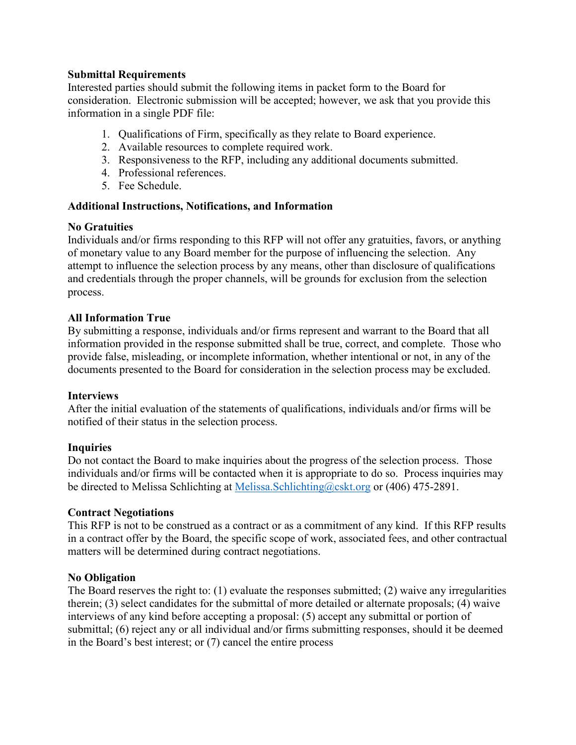# **Submittal Requirements**

Interested parties should submit the following items in packet form to the Board for consideration. Electronic submission will be accepted; however, we ask that you provide this information in a single PDF file:

- 1. Qualifications of Firm, specifically as they relate to Board experience.
- 2. Available resources to complete required work.
- 3. Responsiveness to the RFP, including any additional documents submitted.
- 4. Professional references.
- 5. Fee Schedule.

### **Additional Instructions, Notifications, and Information**

### **No Gratuities**

Individuals and/or firms responding to this RFP will not offer any gratuities, favors, or anything of monetary value to any Board member for the purpose of influencing the selection. Any attempt to influence the selection process by any means, other than disclosure of qualifications and credentials through the proper channels, will be grounds for exclusion from the selection process.

# **All Information True**

By submitting a response, individuals and/or firms represent and warrant to the Board that all information provided in the response submitted shall be true, correct, and complete. Those who provide false, misleading, or incomplete information, whether intentional or not, in any of the documents presented to the Board for consideration in the selection process may be excluded.

### **Interviews**

After the initial evaluation of the statements of qualifications, individuals and/or firms will be notified of their status in the selection process.

### **Inquiries**

Do not contact the Board to make inquiries about the progress of the selection process. Those individuals and/or firms will be contacted when it is appropriate to do so. Process inquiries may be directed to Melissa Schlichting at [Melissa.Schlichting@cskt.org](mailto:Melissa.Schlichting@cskt.org) or (406) 475-2891.

### **Contract Negotiations**

This RFP is not to be construed as a contract or as a commitment of any kind. If this RFP results in a contract offer by the Board, the specific scope of work, associated fees, and other contractual matters will be determined during contract negotiations.

### **No Obligation**

The Board reserves the right to: (1) evaluate the responses submitted; (2) waive any irregularities therein; (3) select candidates for the submittal of more detailed or alternate proposals; (4) waive interviews of any kind before accepting a proposal: (5) accept any submittal or portion of submittal; (6) reject any or all individual and/or firms submitting responses, should it be deemed in the Board's best interest; or (7) cancel the entire process